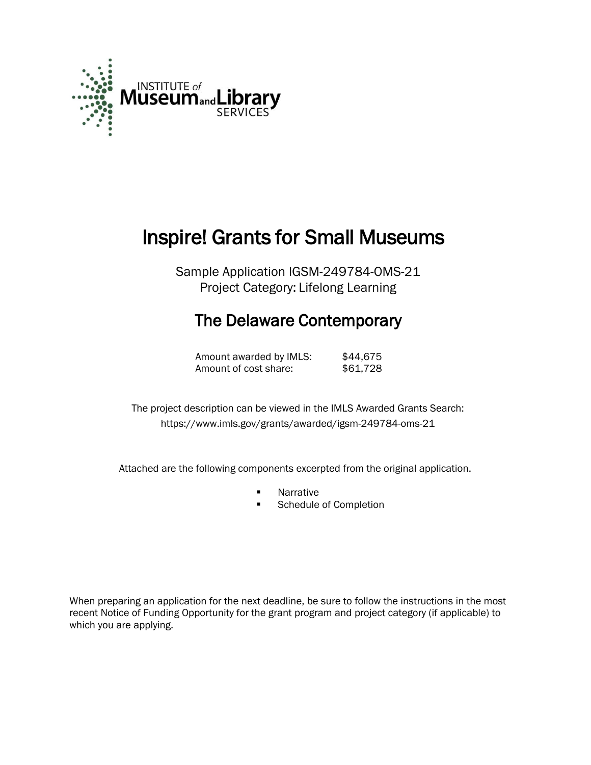

# Inspire! Grants for Small Museums

Sample Application IGSM-249784-OMS-21 Project Category: Lifelong Learning

## The Delaware Contemporary

| Amount awarded by IMLS: | \$44,675 |
|-------------------------|----------|
| Amount of cost share:   | \$61,728 |

 The project description can be viewed in the IMLS Awarded Grants Search: <https://www.imls.gov/grants/awarded/igsm-249784-oms-21>

Attached are the following components excerpted from the original application.

- **Narrative**<br>**Report 19**
- Schedule of Completion

When preparing an application for the next deadline, be sure to follow the instructions in the most recent Notice of Funding Opportunity for the grant program and project category (if applicable) to which you are applying.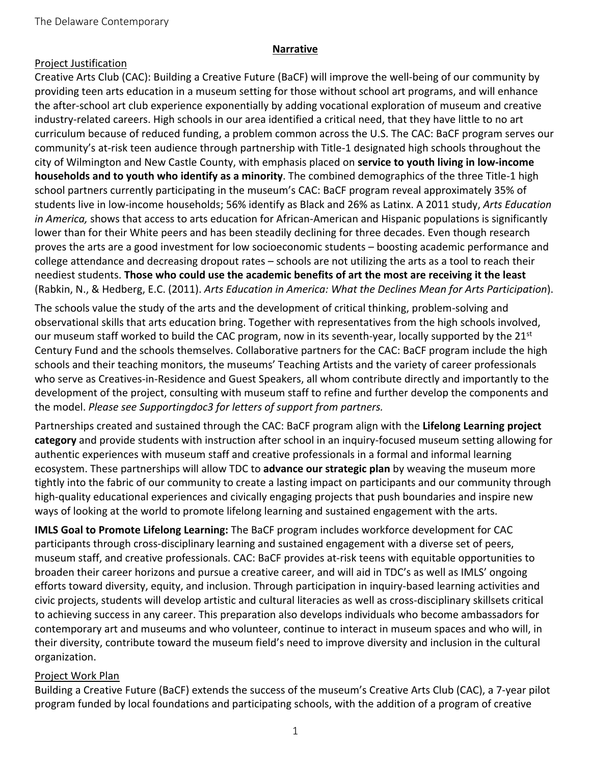#### **Narrative**

#### Project Justification

Creative Arts Club (CAC): Building a Creative Future (BaCF) will improve the well-being of our community by providing teen arts education in a museum setting for those without school art programs, and will enhance the after-school art club experience exponentially by adding vocational exploration of museum and creative industry-related careers. High schools in our area identified a critical need, that they have little to no art curriculum because of reduced funding, a problem common across the U.S. The CAC: BaCF program serves our community's at-risk teen audience through partnership with Title-1 designated high schools throughout the city of Wilmington and New Castle County, with emphasis placed on **service to youth living in low-income households and to youth who identify as a minority**. The combined demographics of the three Title-1 high school partners currently participating in the museum's CAC: BaCF program reveal approximately 35% of students live in low-income households; 56% identify as Black and 26% as Latinx. A 2011 study, *Arts Education in America,* shows that access to arts education for African-American and Hispanic populations is significantly lower than for their White peers and has been steadily declining for three decades. Even though research proves the arts are a good investment for low socioeconomic students – boosting academic performance and college attendance and decreasing dropout rates – schools are not utilizing the arts as a tool to reach their neediest students. **Those who could use the academic benefits of art the most are receiving it the least** (Rabkin, N., & Hedberg, E.C. (2011). *Arts Education in America: What the Declines Mean for Arts Participation*).

The schools value the study of the arts and the development of critical thinking, problem-solving and observational skills that arts education bring. Together with representatives from the high schools involved, our museum staff worked to build the CAC program, now in its seventh-year, locally supported by the 21st Century Fund and the schools themselves. Collaborative partners for the CAC: BaCF program include the high schools and their teaching monitors, the museums' Teaching Artists and the variety of career professionals who serve as Creatives-in-Residence and Guest Speakers, all whom contribute directly and importantly to the development of the project, consulting with museum staff to refine and further develop the components and the model. *Please see Supportingdoc3 for letters of support from partners.*

Partnerships created and sustained through the CAC: BaCF program align with the **Lifelong Learning project category** and provide students with instruction after school in an inquiry-focused museum setting allowing for authentic experiences with museum staff and creative professionals in a formal and informal learning ecosystem. These partnerships will allow TDC to **advance our strategic plan** by weaving the museum more tightly into the fabric of our community to create a lasting impact on participants and our community through high-quality educational experiences and civically engaging projects that push boundaries and inspire new ways of looking at the world to promote lifelong learning and sustained engagement with the arts.

**IMLS Goal to Promote Lifelong Learning:** The BaCF program includes workforce development for CAC participants through cross-disciplinary learning and sustained engagement with a diverse set of peers, museum staff, and creative professionals. CAC: BaCF provides at-risk teens with equitable opportunities to broaden their career horizons and pursue a creative career, and will aid in TDC's as well as IMLS' ongoing efforts toward diversity, equity, and inclusion. Through participation in inquiry-based learning activities and civic projects, students will develop artistic and cultural literacies as well as cross-disciplinary skillsets critical to achieving success in any career. This preparation also develops individuals who become ambassadors for contemporary art and museums and who volunteer, continue to interact in museum spaces and who will, in their diversity, contribute toward the museum field's need to improve diversity and inclusion in the cultural organization.

### Project Work Plan

Building a Creative Future (BaCF) extends the success of the museum's Creative Arts Club (CAC), a 7-year pilot program funded by local foundations and participating schools, with the addition of a program of creative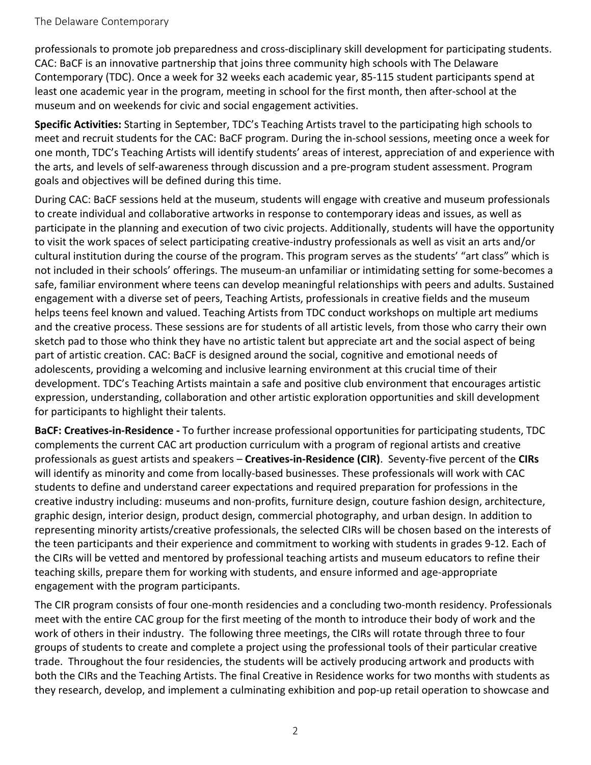professionals to promote job preparedness and cross-disciplinary skill development for participating students. CAC: BaCF is an innovative partnership that joins three community high schools with The Delaware Contemporary (TDC). Once a week for 32 weeks each academic year, 85-115 student participants spend at least one academic year in the program, meeting in school for the first month, then after-school at the museum and on weekends for civic and social engagement activities.

**Specific Activities:** Starting in September, TDC's Teaching Artists travel to the participating high schools to meet and recruit students for the CAC: BaCF program. During the in-school sessions, meeting once a week for one month, TDC's Teaching Artists will identify students' areas of interest, appreciation of and experience with the arts, and levels of self-awareness through discussion and a pre-program student assessment. Program goals and objectives will be defined during this time.

During CAC: BaCF sessions held at the museum, students will engage with creative and museum professionals to create individual and collaborative artworks in response to contemporary ideas and issues, as well as participate in the planning and execution of two civic projects. Additionally, students will have the opportunity to visit the work spaces of select participating creative-industry professionals as well as visit an arts and/or cultural institution during the course of the program. This program serves as the students' "art class" which is not included in their schools' offerings. The museum-an unfamiliar or intimidating setting for some-becomes a safe, familiar environment where teens can develop meaningful relationships with peers and adults. Sustained engagement with a diverse set of peers, Teaching Artists, professionals in creative fields and the museum helps teens feel known and valued. Teaching Artists from TDC conduct workshops on multiple art mediums and the creative process. These sessions are for students of all artistic levels, from those who carry their own sketch pad to those who think they have no artistic talent but appreciate art and the social aspect of being part of artistic creation. CAC: BaCF is designed around the social, cognitive and emotional needs of adolescents, providing a welcoming and inclusive learning environment at this crucial time of their development. TDC's Teaching Artists maintain a safe and positive club environment that encourages artistic expression, understanding, collaboration and other artistic exploration opportunities and skill development for participants to highlight their talents.

**BaCF: Creatives-in-Residence -** To further increase professional opportunities for participating students, TDC complements the current CAC art production curriculum with a program of regional artists and creative professionals as guest artists and speakers – **Creatives-in-Residence (CIR)**. Seventy-five percent of the **CIRs** will identify as minority and come from locally-based businesses. These professionals will work with CAC students to define and understand career expectations and required preparation for professions in the creative industry including: museums and non-profits, furniture design, couture fashion design, architecture, graphic design, interior design, product design, commercial photography, and urban design. In addition to representing minority artists/creative professionals, the selected CIRs will be chosen based on the interests of the teen participants and their experience and commitment to working with students in grades 9-12. Each of the CIRs will be vetted and mentored by professional teaching artists and museum educators to refine their teaching skills, prepare them for working with students, and ensure informed and age-appropriate engagement with the program participants.

The CIR program consists of four one-month residencies and a concluding two-month residency. Professionals meet with the entire CAC group for the first meeting of the month to introduce their body of work and the work of others in their industry. The following three meetings, the CIRs will rotate through three to four groups of students to create and complete a project using the professional tools of their particular creative trade. Throughout the four residencies, the students will be actively producing artwork and products with both the CIRs and the Teaching Artists. The final Creative in Residence works for two months with students as they research, develop, and implement a culminating exhibition and pop-up retail operation to showcase and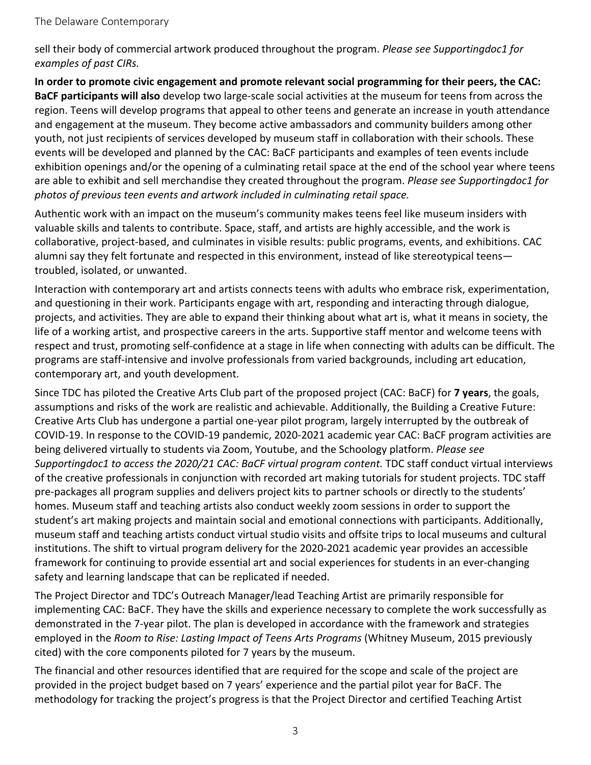sell their body of commercial artwork produced throughout the program. *Please see Supportingdoc1 for examples of past CIRs.*

**In order to promote civic engagement and promote relevant social programming for their peers, the CAC: BaCF participants will also** develop two large-scale social activities at the museum for teens from across the region. Teens will develop programs that appeal to other teens and generate an increase in youth attendance and engagement at the museum. They become active ambassadors and community builders among other youth, not just recipients of services developed by museum staff in collaboration with their schools. These events will be developed and planned by the CAC: BaCF participants and examples of teen events include exhibition openings and/or the opening of a culminating retail space at the end of the school year where teens are able to exhibit and sell merchandise they created throughout the program. *Please see Supportingdoc1 for photos of previous teen events and artwork included in culminating retail space.*

Authentic work with an impact on the museum's community makes teens feel like museum insiders with valuable skills and talents to contribute. Space, staff, and artists are highly accessible, and the work is collaborative, project-based, and culminates in visible results: public programs, events, and exhibitions. CAC alumni say they felt fortunate and respected in this environment, instead of like stereotypical teens troubled, isolated, or unwanted.

Interaction with contemporary art and artists connects teens with adults who embrace risk, experimentation, and questioning in their work. Participants engage with art, responding and interacting through dialogue, projects, and activities. They are able to expand their thinking about what art is, what it means in society, the life of a working artist, and prospective careers in the arts. Supportive staff mentor and welcome teens with respect and trust, promoting self-confidence at a stage in life when connecting with adults can be difficult. The programs are staff-intensive and involve professionals from varied backgrounds, including art education, contemporary art, and youth development.

Since TDC has piloted the Creative Arts Club part of the proposed project (CAC: BaCF) for **7 years**, the goals, assumptions and risks of the work are realistic and achievable. Additionally, the Building a Creative Future: Creative Arts Club has undergone a partial one-year pilot program, largely interrupted by the outbreak of COVID-19. In response to the COVID-19 pandemic, 2020-2021 academic year CAC: BaCF program activities are being delivered virtually to students via Zoom, Youtube, and the Schoology platform. *Please see Supportingdoc1 to access the 2020/21 CAC: BaCF virtual program content.* TDC staff conduct virtual interviews of the creative professionals in conjunction with recorded art making tutorials for student projects. TDC staff pre-packages all program supplies and delivers project kits to partner schools or directly to the students' homes. Museum staff and teaching artists also conduct weekly zoom sessions in order to support the student's art making projects and maintain social and emotional connections with participants. Additionally, museum staff and teaching artists conduct virtual studio visits and offsite trips to local museums and cultural institutions. The shift to virtual program delivery for the 2020-2021 academic year provides an accessible framework for continuing to provide essential art and social experiences for students in an ever-changing safety and learning landscape that can be replicated if needed.

The Project Director and TDC's Outreach Manager/lead Teaching Artist are primarily responsible for implementing CAC: BaCF. They have the skills and experience necessary to complete the work successfully as demonstrated in the 7-year pilot. The plan is developed in accordance with the framework and strategies employed in the *Room to Rise: Lasting Impact of Teens Arts Programs* (Whitney Museum, 2015 previously cited) with the core components piloted for 7 years by the museum.

The financial and other resources identified that are required for the scope and scale of the project are provided in the project budget based on 7 years' experience and the partial pilot year for BaCF. The methodology for tracking the project's progress is that the Project Director and certified Teaching Artist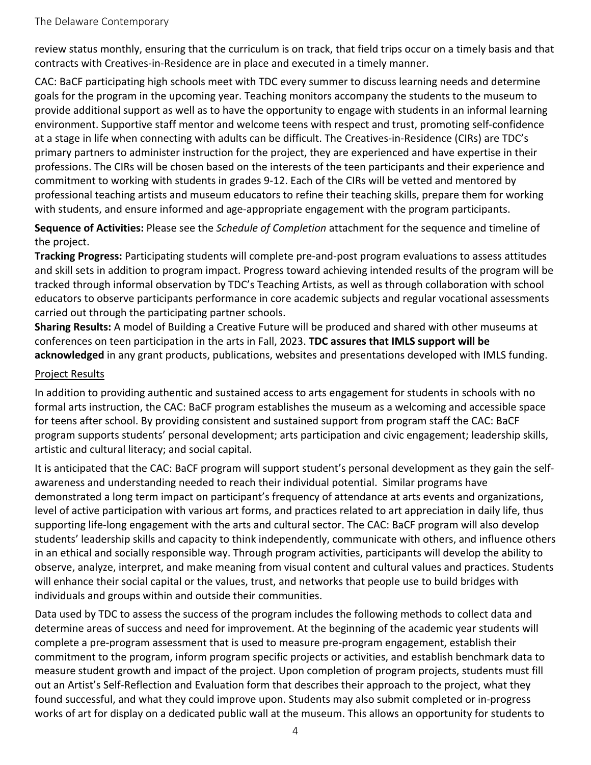review status monthly, ensuring that the curriculum is on track, that field trips occur on a timely basis and that contracts with Creatives-in-Residence are in place and executed in a timely manner.

CAC: BaCF participating high schools meet with TDC every summer to discuss learning needs and determine goals for the program in the upcoming year. Teaching monitors accompany the students to the museum to provide additional support as well as to have the opportunity to engage with students in an informal learning environment. Supportive staff mentor and welcome teens with respect and trust, promoting self-confidence at a stage in life when connecting with adults can be difficult. The Creatives-in-Residence (CIRs) are TDC's primary partners to administer instruction for the project, they are experienced and have expertise in their professions. The CIRs will be chosen based on the interests of the teen participants and their experience and commitment to working with students in grades 9-12. Each of the CIRs will be vetted and mentored by professional teaching artists and museum educators to refine their teaching skills, prepare them for working with students, and ensure informed and age-appropriate engagement with the program participants.

**Sequence of Activities:** Please see the *Schedule of Completion* attachment for the sequence and timeline of the project.

**Tracking Progress:** Participating students will complete pre-and-post program evaluations to assess attitudes and skill sets in addition to program impact. Progress toward achieving intended results of the program will be tracked through informal observation by TDC's Teaching Artists, as well as through collaboration with school educators to observe participants performance in core academic subjects and regular vocational assessments carried out through the participating partner schools.

**Sharing Results:** A model of Building a Creative Future will be produced and shared with other museums at conferences on teen participation in the arts in Fall, 2023. **TDC assures that IMLS support will be acknowledged** in any grant products, publications, websites and presentations developed with IMLS funding.

#### Project Results

In addition to providing authentic and sustained access to arts engagement for students in schools with no formal arts instruction, the CAC: BaCF program establishes the museum as a welcoming and accessible space for teens after school. By providing consistent and sustained support from program staff the CAC: BaCF program supports students' personal development; arts participation and civic engagement; leadership skills, artistic and cultural literacy; and social capital.

It is anticipated that the CAC: BaCF program will support student's personal development as they gain the selfawareness and understanding needed to reach their individual potential. Similar programs have demonstrated a long term impact on participant's frequency of attendance at arts events and organizations, level of active participation with various art forms, and practices related to art appreciation in daily life, thus supporting life-long engagement with the arts and cultural sector. The CAC: BaCF program will also develop students' leadership skills and capacity to think independently, communicate with others, and influence others in an ethical and socially responsible way. Through program activities, participants will develop the ability to observe, analyze, interpret, and make meaning from visual content and cultural values and practices. Students will enhance their social capital or the values, trust, and networks that people use to build bridges with individuals and groups within and outside their communities.

Data used by TDC to assess the success of the program includes the following methods to collect data and determine areas of success and need for improvement. At the beginning of the academic year students will complete a pre-program assessment that is used to measure pre-program engagement, establish their commitment to the program, inform program specific projects or activities, and establish benchmark data to measure student growth and impact of the project. Upon completion of program projects, students must fill out an Artist's Self-Reflection and Evaluation form that describes their approach to the project, what they found successful, and what they could improve upon. Students may also submit completed or in-progress works of art for display on a dedicated public wall at the museum. This allows an opportunity for students to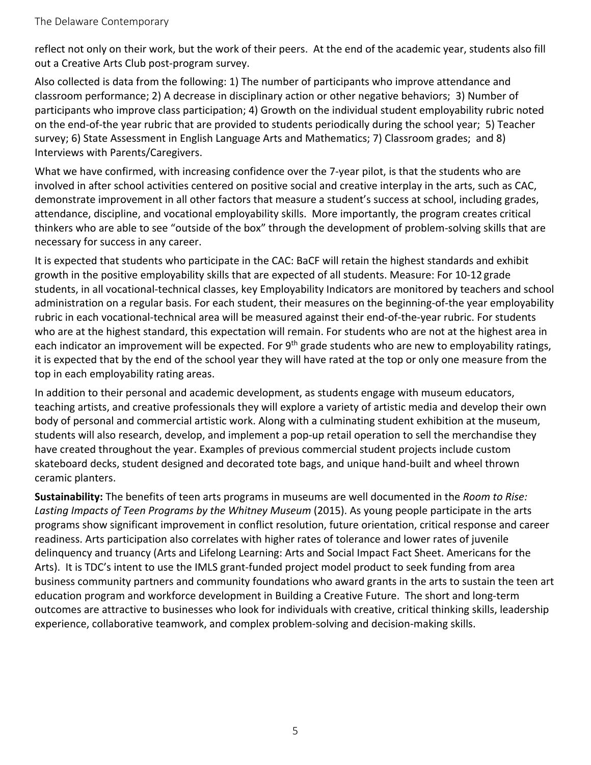reflect not only on their work, but the work of their peers. At the end of the academic year, students also fill out a Creative Arts Club post-program survey.

Also collected is data from the following: 1) The number of participants who improve attendance and classroom performance; 2) A decrease in disciplinary action or other negative behaviors; 3) Number of participants who improve class participation; 4) Growth on the individual student employability rubric noted on the end-of-the year rubric that are provided to students periodically during the school year; 5) Teacher survey; 6) State Assessment in English Language Arts and Mathematics; 7) Classroom grades; and 8) Interviews with Parents/Caregivers.

What we have confirmed, with increasing confidence over the 7-year pilot, is that the students who are involved in after school activities centered on positive social and creative interplay in the arts, such as CAC, demonstrate improvement in all other factors that measure a student's success at school, including grades, attendance, discipline, and vocational employability skills. More importantly, the program creates critical thinkers who are able to see "outside of the box" through the development of problem-solving skills that are necessary for success in any career.

It is expected that students who participate in the CAC: BaCF will retain the highest standards and exhibit growth in the positive employability skills that are expected of all students. Measure: For 10-12 grade students, in all vocational-technical classes, key Employability Indicators are monitored by teachers and school administration on a regular basis. For each student, their measures on the beginning-of-the year employability rubric in each vocational-technical area will be measured against their end-of-the-year rubric. For students who are at the highest standard, this expectation will remain. For students who are not at the highest area in each indicator an improvement will be expected. For 9<sup>th</sup> grade students who are new to employability ratings, it is expected that by the end of the school year they will have rated at the top or only one measure from the top in each employability rating areas.

In addition to their personal and academic development, as students engage with museum educators, teaching artists, and creative professionals they will explore a variety of artistic media and develop their own body of personal and commercial artistic work. Along with a culminating student exhibition at the museum, students will also research, develop, and implement a pop-up retail operation to sell the merchandise they have created throughout the year. Examples of previous commercial student projects include custom skateboard decks, student designed and decorated tote bags, and unique hand-built and wheel thrown ceramic planters.

**Sustainability:** The benefits of teen arts programs in museums are well documented in the *Room to Rise: Lasting Impacts of Teen Programs by the Whitney Museum* (2015). As young people participate in the arts programs show significant improvement in conflict resolution, future orientation, critical response and career readiness. Arts participation also correlates with higher rates of tolerance and lower rates of juvenile delinquency and truancy (Arts and Lifelong Learning: Arts and Social Impact Fact Sheet. Americans for the Arts). It is TDC's intent to use the IMLS grant-funded project model product to seek funding from area business community partners and community foundations who award grants in the arts to sustain the teen art education program and workforce development in Building a Creative Future. The short and long-term outcomes are attractive to businesses who look for individuals with creative, critical thinking skills, leadership experience, collaborative teamwork, and complex problem-solving and decision-making skills.